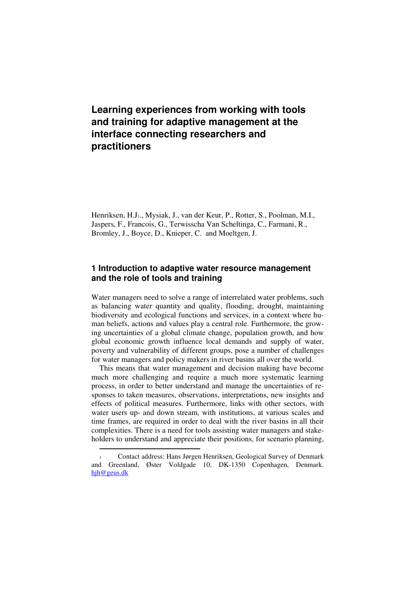# **Learning experiences from working with tools and training for adaptive management at the interface connecting researchers and practitioners**

Henriksen, H.J1., Mysiak, J., van der Keur, P., Rotter, S., Poolman, M.I., Jaspers, F., Francois, G., Terwisscha Van Scheltinga, C., Farmani, R., Bromley, J., Boyce, D., Knieper, C. and Moeltgen, J.

### **1 Introduction to adaptive water resource management and the role of tools and training**

Water managers need to solve a range of interrelated water problems, such as balancing water quantity and quality, flooding, drought, maintaining biodiversity and ecological functions and services, in a context where human beliefs, actions and values play a central role. Furthermore, the growing uncertainties of a global climate change, population growth, and how global economic growth influence local demands and supply of water, poverty and vulnerability of different groups, pose a number of challenges for water managers and policy makers in river basins all over the world.

This means that water management and decision making have become much more challenging and require a much more systematic learning process, in order to better understand and manage the uncertainties of responses to taken measures, observations, interpretations, new insights and effects of political measures. Furthermore, links with other sectors, with water users up- and down stream, with institutions, at various scales and time frames, are required in order to deal with the river basins in all their complexities. There is a need for tools assisting water managers and stakeholders to understand and appreciate their positions, for scenario planning,

 $\overline{a}$ 

<sup>1</sup> Contact address: Hans Jørgen Henriksen, Geological Survey of Denmark and Greenland, Øster Voldgade 10, DK-1350 Copenhagen, Denmark. hjh@geus.dk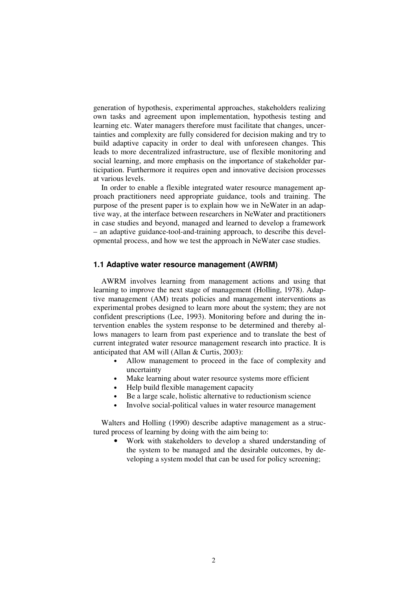generation of hypothesis, experimental approaches, stakeholders realizing own tasks and agreement upon implementation, hypothesis testing and learning etc. Water managers therefore must facilitate that changes, uncertainties and complexity are fully considered for decision making and try to build adaptive capacity in order to deal with unforeseen changes. This leads to more decentralized infrastructure, use of flexible monitoring and social learning, and more emphasis on the importance of stakeholder participation. Furthermore it requires open and innovative decision processes at various levels.

In order to enable a flexible integrated water resource management approach practitioners need appropriate guidance, tools and training. The purpose of the present paper is to explain how we in NeWater in an adaptive way, at the interface between researchers in NeWater and practitioners in case studies and beyond, managed and learned to develop a framework – an adaptive guidance-tool-and-training approach, to describe this developmental process, and how we test the approach in NeWater case studies.

### **1.1 Adaptive water resource management (AWRM)**

AWRM involves learning from management actions and using that learning to improve the next stage of management (Holling, 1978). Adaptive management (AM) treats policies and management interventions as experimental probes designed to learn more about the system; they are not confident prescriptions (Lee, 1993). Monitoring before and during the intervention enables the system response to be determined and thereby allows managers to learn from past experience and to translate the best of current integrated water resource management research into practice. It is anticipated that AM will (Allan & Curtis, 2003):

- Allow management to proceed in the face of complexity and uncertainty
- Make learning about water resource systems more efficient
- Help build flexible management capacity
- Be a large scale, holistic alternative to reductionism science
- Involve social-political values in water resource management

Walters and Holling (1990) describe adaptive management as a structured process of learning by doing with the aim being to:

• Work with stakeholders to develop a shared understanding of the system to be managed and the desirable outcomes, by developing a system model that can be used for policy screening;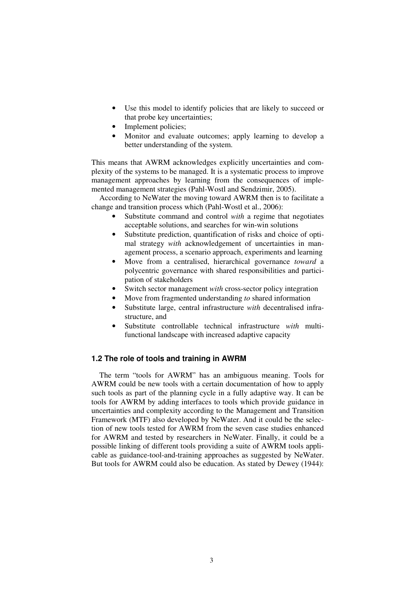- Use this model to identify policies that are likely to succeed or that probe key uncertainties;
- Implement policies;
- Monitor and evaluate outcomes; apply learning to develop a better understanding of the system.

This means that AWRM acknowledges explicitly uncertainties and complexity of the systems to be managed. It is a systematic process to improve management approaches by learning from the consequences of implemented management strategies (Pahl-Wostl and Sendzimir, 2005).

According to NeWater the moving toward AWRM then is to facilitate a change and transition process which (Pahl-Wostl et al., 2006):

- Substitute command and control *with* a regime that negotiates acceptable solutions, and searches for win-win solutions
- Substitute prediction, quantification of risks and choice of optimal strategy *with* acknowledgement of uncertainties in management process, a scenario approach, experiments and learning
- Move from a centralised, hierarchical governance *toward* a polycentric governance with shared responsibilities and participation of stakeholders
- Switch sector management *with* cross-sector policy integration
- Move from fragmented understanding *to* shared information
- Substitute large, central infrastructure *with* decentralised infrastructure, and
- Substitute controllable technical infrastructure *with* multifunctional landscape with increased adaptive capacity

#### **1.2 The role of tools and training in AWRM**

The term "tools for AWRM" has an ambiguous meaning. Tools for AWRM could be new tools with a certain documentation of how to apply such tools as part of the planning cycle in a fully adaptive way. It can be tools for AWRM by adding interfaces to tools which provide guidance in uncertainties and complexity according to the Management and Transition Framework (MTF) also developed by NeWater. And it could be the selection of new tools tested for AWRM from the seven case studies enhanced for AWRM and tested by researchers in NeWater. Finally, it could be a possible linking of different tools providing a suite of AWRM tools applicable as guidance-tool-and-training approaches as suggested by NeWater. But tools for AWRM could also be education. As stated by Dewey (1944):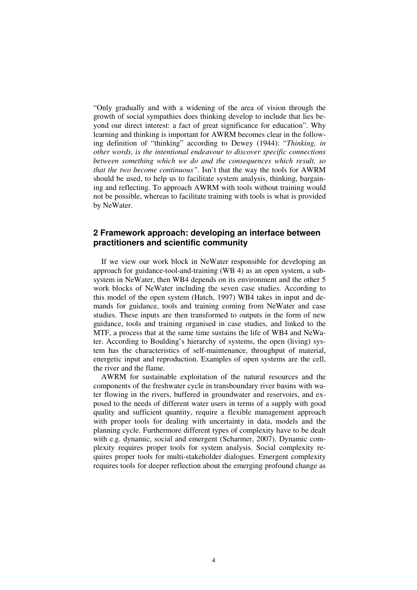"Only gradually and with a widening of the area of vision through the growth of social sympathies does thinking develop to include that lies beyond our direct interest: a fact of great significance for education". Why learning and thinking is important for AWRM becomes clear in the following definition of "thinking" according to Dewey (1944): "*Thinking, in other words, is the intentional endeavour to discover specific connections between something which we do and the consequences which result, so that the two become continuous".* Isn't that the way the tools for AWRM should be used, to help us to facilitate system analysis, thinking, bargaining and reflecting. To approach AWRM with tools without training would not be possible, whereas to facilitate training with tools is what is provided by NeWater.

#### **2 Framework approach: developing an interface between practitioners and scientific community**

If we view our work block in NeWater responsible for developing an approach for guidance-tool-and-training (WB 4) as an open system, a subsystem in NeWater, then WB4 depends on its environment and the other 5 work blocks of NeWater including the seven case studies. According to this model of the open system (Hatch, 1997) WB4 takes in input and demands for guidance, tools and training coming from NeWater and case studies. These inputs are then transformed to outputs in the form of new guidance, tools and training organised in case studies, and linked to the MTF, a process that at the same time sustains the life of WB4 and NeWater. According to Boulding's hierarchy of systems, the open (living) system has the characteristics of self-maintenance, throughput of material, energetic input and reproduction. Examples of open systems are the cell, the river and the flame.

AWRM for sustainable exploitation of the natural resources and the components of the freshwater cycle in transboundary river basins with water flowing in the rivers, buffered in groundwater and reservoirs, and exposed to the needs of different water users in terms of a supply with good quality and sufficient quantity, require a flexible management approach with proper tools for dealing with uncertainty in data, models and the planning cycle. Furthermore different types of complexity have to be dealt with e.g. dynamic, social and emergent (Scharmer, 2007). Dynamic complexity requires proper tools for system analysis. Social complexity requires proper tools for multi-stakeholder dialogues. Emergent complexity requires tools for deeper reflection about the emerging profound change as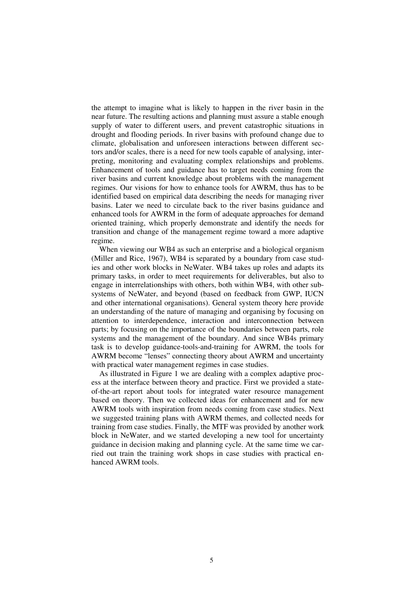the attempt to imagine what is likely to happen in the river basin in the near future. The resulting actions and planning must assure a stable enough supply of water to different users, and prevent catastrophic situations in drought and flooding periods. In river basins with profound change due to climate, globalisation and unforeseen interactions between different sectors and/or scales, there is a need for new tools capable of analysing, interpreting, monitoring and evaluating complex relationships and problems. Enhancement of tools and guidance has to target needs coming from the river basins and current knowledge about problems with the management regimes. Our visions for how to enhance tools for AWRM, thus has to be identified based on empirical data describing the needs for managing river basins. Later we need to circulate back to the river basins guidance and enhanced tools for AWRM in the form of adequate approaches for demand oriented training, which properly demonstrate and identify the needs for transition and change of the management regime toward a more adaptive regime.

When viewing our WB4 as such an enterprise and a biological organism (Miller and Rice, 1967), WB4 is separated by a boundary from case studies and other work blocks in NeWater. WB4 takes up roles and adapts its primary tasks, in order to meet requirements for deliverables, but also to engage in interrelationships with others, both within WB4, with other subsystems of NeWater, and beyond (based on feedback from GWP, IUCN and other international organisations). General system theory here provide an understanding of the nature of managing and organising by focusing on attention to interdependence, interaction and interconnection between parts; by focusing on the importance of the boundaries between parts, role systems and the management of the boundary. And since WB4s primary task is to develop guidance-tools-and-training for AWRM, the tools for AWRM become "lenses" connecting theory about AWRM and uncertainty with practical water management regimes in case studies.

As illustrated in Figure 1 we are dealing with a complex adaptive process at the interface between theory and practice. First we provided a stateof-the-art report about tools for integrated water resource management based on theory. Then we collected ideas for enhancement and for new AWRM tools with inspiration from needs coming from case studies. Next we suggested training plans with AWRM themes, and collected needs for training from case studies. Finally, the MTF was provided by another work block in NeWater, and we started developing a new tool for uncertainty guidance in decision making and planning cycle. At the same time we carried out train the training work shops in case studies with practical enhanced AWRM tools.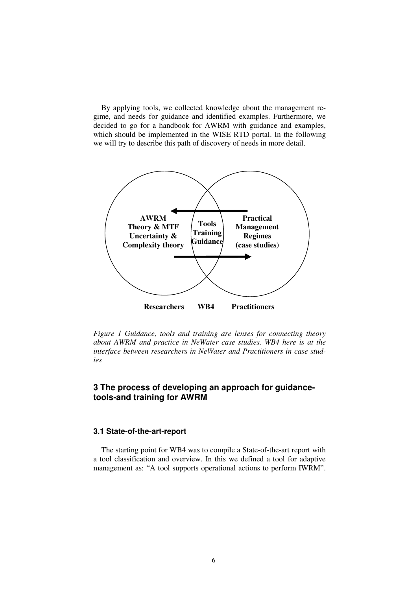By applying tools, we collected knowledge about the management regime, and needs for guidance and identified examples. Furthermore, we decided to go for a handbook for AWRM with guidance and examples, which should be implemented in the WISE RTD portal. In the following we will try to describe this path of discovery of needs in more detail.



*Figure 1 Guidance, tools and training are lenses for connecting theory about AWRM and practice in NeWater case studies. WB4 here is at the interface between researchers in NeWater and Practitioners in case studies* 

## **3 The process of developing an approach for guidancetools-and training for AWRM**

#### **3.1 State-of-the-art-report**

The starting point for WB4 was to compile a State-of-the-art report with a tool classification and overview. In this we defined a tool for adaptive management as: "A tool supports operational actions to perform IWRM".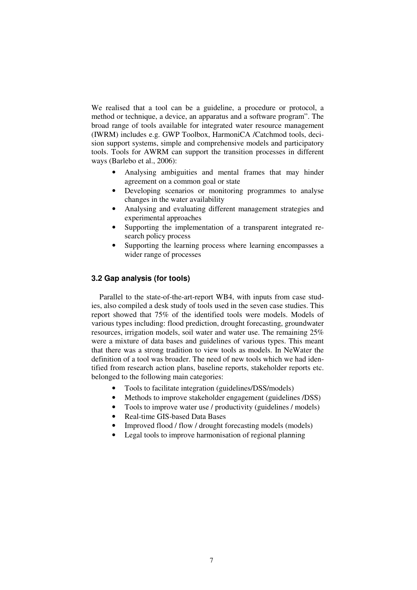We realised that a tool can be a guideline, a procedure or protocol, a method or technique, a device, an apparatus and a software program". The broad range of tools available for integrated water resource management (IWRM) includes e.g. GWP Toolbox, HarmoniCA /Catchmod tools, decision support systems, simple and comprehensive models and participatory tools. Tools for AWRM can support the transition processes in different ways (Barlebo et al., 2006):

- Analysing ambiguities and mental frames that may hinder agreement on a common goal or state
- Developing scenarios or monitoring programmes to analyse changes in the water availability
- Analysing and evaluating different management strategies and experimental approaches
- Supporting the implementation of a transparent integrated research policy process
- Supporting the learning process where learning encompasses a wider range of processes

#### **3.2 Gap analysis (for tools)**

Parallel to the state-of-the-art-report WB4, with inputs from case studies, also compiled a desk study of tools used in the seven case studies. This report showed that 75% of the identified tools were models. Models of various types including: flood prediction, drought forecasting, groundwater resources, irrigation models, soil water and water use. The remaining 25% were a mixture of data bases and guidelines of various types. This meant that there was a strong tradition to view tools as models. In NeWater the definition of a tool was broader. The need of new tools which we had identified from research action plans, baseline reports, stakeholder reports etc. belonged to the following main categories:

- Tools to facilitate integration (guidelines/DSS/models)
- Methods to improve stakeholder engagement (guidelines /DSS)
- Tools to improve water use / productivity (guidelines / models)
- Real-time GIS-based Data Bases
- Improved flood / flow / drought forecasting models (models)
- Legal tools to improve harmonisation of regional planning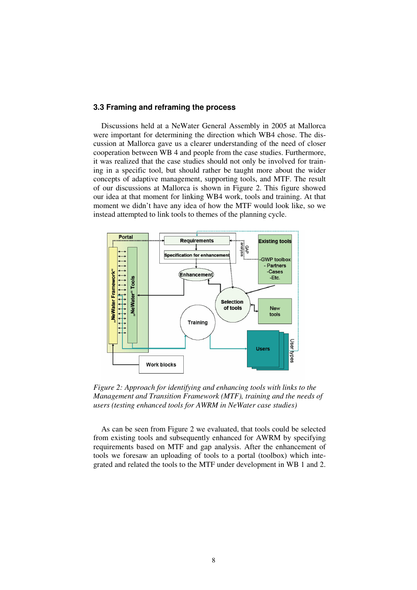#### **3.3 Framing and reframing the process**

Discussions held at a NeWater General Assembly in 2005 at Mallorca were important for determining the direction which WB4 chose. The discussion at Mallorca gave us a clearer understanding of the need of closer cooperation between WB 4 and people from the case studies. Furthermore, it was realized that the case studies should not only be involved for training in a specific tool, but should rather be taught more about the wider concepts of adaptive management, supporting tools, and MTF. The result of our discussions at Mallorca is shown in Figure 2. This figure showed our idea at that moment for linking WB4 work, tools and training. At that moment we didn't have any idea of how the MTF would look like, so we instead attempted to link tools to themes of the planning cycle.



*Figure 2: Approach for identifying and enhancing tools with links to the Management and Transition Framework (MTF), training and the needs of users (testing enhanced tools for AWRM in NeWater case studies)* 

As can be seen from Figure 2 we evaluated, that tools could be selected from existing tools and subsequently enhanced for AWRM by specifying requirements based on MTF and gap analysis. After the enhancement of tools we foresaw an uploading of tools to a portal (toolbox) which integrated and related the tools to the MTF under development in WB 1 and 2.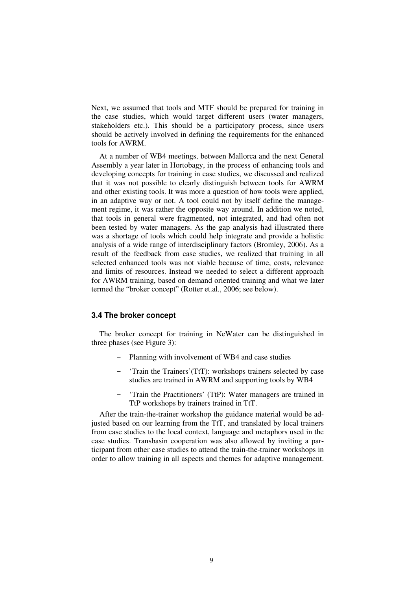Next, we assumed that tools and MTF should be prepared for training in the case studies, which would target different users (water managers, stakeholders etc.). This should be a participatory process, since users should be actively involved in defining the requirements for the enhanced tools for AWRM.

At a number of WB4 meetings, between Mallorca and the next General Assembly a year later in Hortobagy, in the process of enhancing tools and developing concepts for training in case studies, we discussed and realized that it was not possible to clearly distinguish between tools for AWRM and other existing tools. It was more a question of how tools were applied, in an adaptive way or not. A tool could not by itself define the management regime, it was rather the opposite way around. In addition we noted, that tools in general were fragmented, not integrated, and had often not been tested by water managers. As the gap analysis had illustrated there was a shortage of tools which could help integrate and provide a holistic analysis of a wide range of interdisciplinary factors (Bromley, 2006). As a result of the feedback from case studies, we realized that training in all selected enhanced tools was not viable because of time, costs, relevance and limits of resources. Instead we needed to select a different approach for AWRM training, based on demand oriented training and what we later termed the "broker concept" (Rotter et.al., 2006; see below).

#### **3.4 The broker concept**

The broker concept for training in NeWater can be distinguished in three phases (see Figure 3):

- Planning with involvement of WB4 and case studies
- 'Train the Trainers'(TtT): workshops trainers selected by case studies are trained in AWRM and supporting tools by WB4
- 'Train the Practitioners' (TtP): Water managers are trained in TtP workshops by trainers trained in TtT.

After the train-the-trainer workshop the guidance material would be adjusted based on our learning from the TtT, and translated by local trainers from case studies to the local context, language and metaphors used in the case studies. Transbasin cooperation was also allowed by inviting a participant from other case studies to attend the train-the-trainer workshops in order to allow training in all aspects and themes for adaptive management.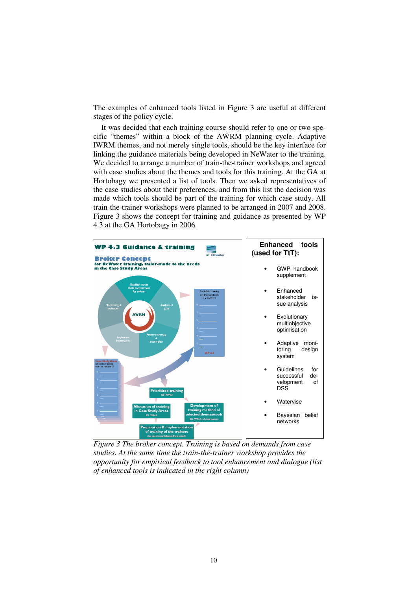The examples of enhanced tools listed in Figure 3 are useful at different stages of the policy cycle.

It was decided that each training course should refer to one or two specific "themes" within a block of the AWRM planning cycle. Adaptive IWRM themes, and not merely single tools, should be the key interface for linking the guidance materials being developed in NeWater to the training. We decided to arrange a number of train-the-trainer workshops and agreed with case studies about the themes and tools for this training. At the GA at Hortobagy we presented a list of tools. Then we asked representatives of the case studies about their preferences, and from this list the decision was made which tools should be part of the training for which case study. All train-the-trainer workshops were planned to be arranged in 2007 and 2008. Figure 3 shows the concept for training and guidance as presented by WP 4.3 at the GA Hortobagy in 2006.



*Figure 3 The broker concept. Training is based on demands from case studies. At the same time the train-the-trainer workshop provides the opportunity for empirical feedback to tool enhancement and dialogue (list of enhanced tools is indicated in the right column)*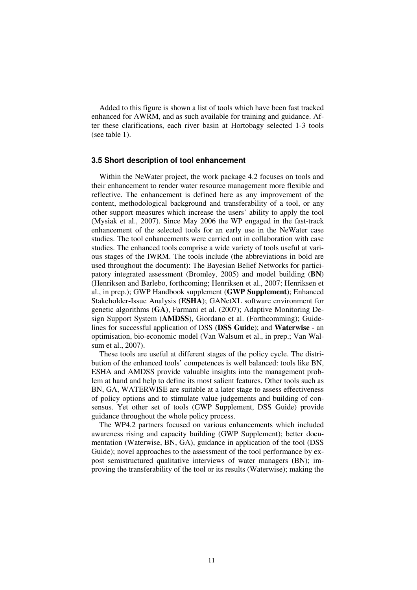Added to this figure is shown a list of tools which have been fast tracked enhanced for AWRM, and as such available for training and guidance. After these clarifications, each river basin at Hortobagy selected 1-3 tools (see table 1).

#### **3.5 Short description of tool enhancement**

Within the NeWater project, the work package 4.2 focuses on tools and their enhancement to render water resource management more flexible and reflective. The enhancement is defined here as any improvement of the content, methodological background and transferability of a tool, or any other support measures which increase the users' ability to apply the tool (Mysiak et al., 2007). Since May 2006 the WP engaged in the fast-track enhancement of the selected tools for an early use in the NeWater case studies. The tool enhancements were carried out in collaboration with case studies. The enhanced tools comprise a wide variety of tools useful at various stages of the IWRM. The tools include (the abbreviations in bold are used throughout the document): The Bayesian Belief Networks for participatory integrated assessment (Bromley, 2005) and model building (**BN**) (Henriksen and Barlebo, forthcoming; Henriksen et al., 2007; Henriksen et al., in prep.); GWP Handbook supplement (**GWP Supplement**); Enhanced Stakeholder-Issue Analysis (**ESHA**); GANetXL software environment for genetic algorithms (**GA**), Farmani et al. (2007); Adaptive Monitoring Design Support System (**AMDSS**), Giordano et al. (Forthcomming); Guidelines for successful application of DSS (**DSS Guide**); and **Waterwise** - an optimisation, bio-economic model (Van Walsum et al., in prep.; Van Walsum et al., 2007).

These tools are useful at different stages of the policy cycle. The distribution of the enhanced tools' competences is well balanced: tools like BN, ESHA and AMDSS provide valuable insights into the management problem at hand and help to define its most salient features. Other tools such as BN, GA, WATERWISE are suitable at a later stage to assess effectiveness of policy options and to stimulate value judgements and building of consensus. Yet other set of tools (GWP Supplement, DSS Guide) provide guidance throughout the whole policy process.

The WP4.2 partners focused on various enhancements which included awareness rising and capacity building (GWP Supplement); better documentation (Waterwise, BN, GA), guidance in application of the tool (DSS Guide); novel approaches to the assessment of the tool performance by expost semistructured qualitative interviews of water managers (BN); improving the transferability of the tool or its results (Waterwise); making the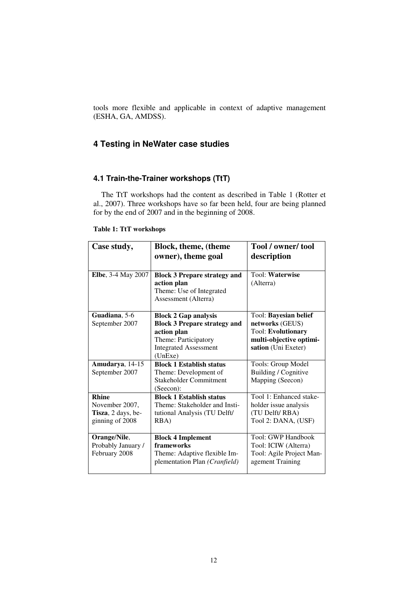tools more flexible and applicable in context of adaptive management (ESHA, GA, AMDSS).

## **4 Testing in NeWater case studies**

## **4.1 Train-the-Trainer workshops (TtT)**

The TtT workshops had the content as described in Table 1 (Rotter et al., 2007). Three workshops have so far been held, four are being planned for by the end of 2007 and in the beginning of 2008.

| Case study,                | <b>Block, theme, (theme</b>         | Tool / owner/ tool        |
|----------------------------|-------------------------------------|---------------------------|
|                            | owner), theme goal                  | description               |
|                            |                                     |                           |
| <b>Elbe</b> , 3-4 May 2007 | <b>Block 3 Prepare strategy and</b> | Tool: Waterwise           |
|                            | action plan                         | (Alterra)                 |
|                            | Theme: Use of Integrated            |                           |
|                            | Assessment (Alterra)                |                           |
|                            |                                     |                           |
| Guadiana, 5-6              | <b>Block 2 Gap analysis</b>         | Tool: Bayesian belief     |
| September 2007             | <b>Block 3 Prepare strategy and</b> | networks (GEUS)           |
|                            | action plan                         | <b>Tool: Evolutionary</b> |
|                            | Theme: Participatory                | multi-objective optimi-   |
|                            | <b>Integrated Assessment</b>        | sation (Uni Exeter)       |
|                            | (UnExe)                             |                           |
| Amudarya, 14-15            | <b>Block 1 Establish status</b>     | Tools: Group Model        |
| September 2007             | Theme: Development of               | Building / Cognitive      |
|                            | Stakeholder Commitment              | Mapping (Seecon)          |
|                            | (Seecon):                           |                           |
| <b>Rhine</b>               | <b>Block 1 Establish status</b>     | Tool 1: Enhanced stake-   |
| November 2007,             | Theme: Stakeholder and Insti-       | holder issue analysis     |
| Tisza, 2 days, be-         | tutional Analysis (TU Delft/        | (TU Delft/RBA)            |
| ginning of 2008            | RBA)                                | Tool 2: DANA, (USF)       |
|                            |                                     |                           |
| Orange/Nile,               | <b>Block 4 Implement</b>            | Tool: GWP Handbook        |
| Probably January /         | frameworks                          | Tool: ICIW (Alterra)      |
| February 2008              | Theme: Adaptive flexible Im-        | Tool: Agile Project Man-  |
|                            | plementation Plan (Cranfield)       | agement Training          |
|                            |                                     |                           |

#### **Table 1: TtT workshops**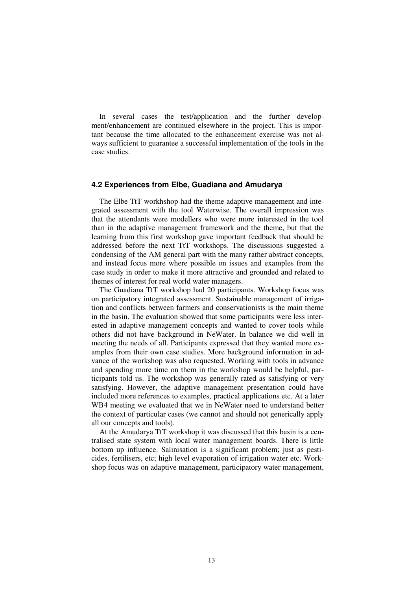In several cases the test/application and the further development/enhancement are continued elsewhere in the project. This is important because the time allocated to the enhancement exercise was not always sufficient to guarantee a successful implementation of the tools in the case studies.

#### **4.2 Experiences from Elbe, Guadiana and Amudarya**

The Elbe TtT workhshop had the theme adaptive management and integrated assessment with the tool Waterwise. The overall impression was that the attendants were modellers who were more interested in the tool than in the adaptive management framework and the theme, but that the learning from this first workshop gave important feedback that should be addressed before the next TtT workshops. The discussions suggested a condensing of the AM general part with the many rather abstract concepts, and instead focus more where possible on issues and examples from the case study in order to make it more attractive and grounded and related to themes of interest for real world water managers.

The Guadiana TtT workshop had 20 participants. Workshop focus was on participatory integrated assessment. Sustainable management of irrigation and conflicts between farmers and conservationists is the main theme in the basin. The evaluation showed that some participants were less interested in adaptive management concepts and wanted to cover tools while others did not have background in NeWater. In balance we did well in meeting the needs of all. Participants expressed that they wanted more examples from their own case studies. More background information in advance of the workshop was also requested. Working with tools in advance and spending more time on them in the workshop would be helpful, participants told us. The workshop was generally rated as satisfying or very satisfying. However, the adaptive management presentation could have included more references to examples, practical applications etc. At a later WB4 meeting we evaluated that we in NeWater need to understand better the context of particular cases (we cannot and should not generically apply all our concepts and tools).

At the Amudarya TtT workshop it was discussed that this basin is a centralised state system with local water management boards. There is little bottom up influence. Salinisation is a significant problem; just as pesticides, fertilisers, etc; high level evaporation of irrigation water etc. Workshop focus was on adaptive management, participatory water management,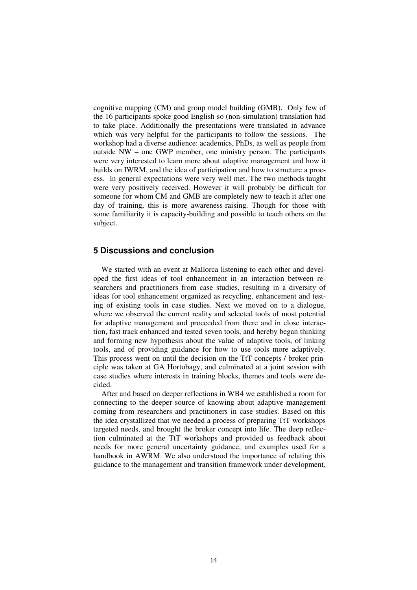cognitive mapping (CM) and group model building (GMB). Only few of the 16 participants spoke good English so (non-simulation) translation had to take place. Additionally the presentations were translated in advance which was very helpful for the participants to follow the sessions. The workshop had a diverse audience: academics, PhDs, as well as people from outside NW – one GWP member, one ministry person. The participants were very interested to learn more about adaptive management and how it builds on IWRM, and the idea of participation and how to structure a process. In general expectations were very well met. The two methods taught were very positively received. However it will probably be difficult for someone for whom CM and GMB are completely new to teach it after one day of training, this is more awareness-raising. Though for those with some familiarity it is capacity-building and possible to teach others on the subject.

### **5 Discussions and conclusion**

We started with an event at Mallorca listening to each other and developed the first ideas of tool enhancement in an interaction between researchers and practitioners from case studies, resulting in a diversity of ideas for tool enhancement organized as recycling, enhancement and testing of existing tools in case studies. Next we moved on to a dialogue, where we observed the current reality and selected tools of most potential for adaptive management and proceeded from there and in close interaction, fast track enhanced and tested seven tools, and hereby began thinking and forming new hypothesis about the value of adaptive tools, of linking tools, and of providing guidance for how to use tools more adaptively. This process went on until the decision on the TtT concepts / broker principle was taken at GA Hortobagy, and culminated at a joint session with case studies where interests in training blocks, themes and tools were decided.

After and based on deeper reflections in WB4 we established a room for connecting to the deeper source of knowing about adaptive management coming from researchers and practitioners in case studies. Based on this the idea crystallized that we needed a process of preparing TtT workshops targeted needs, and brought the broker concept into life. The deep reflection culminated at the TtT workshops and provided us feedback about needs for more general uncertainty guidance, and examples used for a handbook in AWRM. We also understood the importance of relating this guidance to the management and transition framework under development,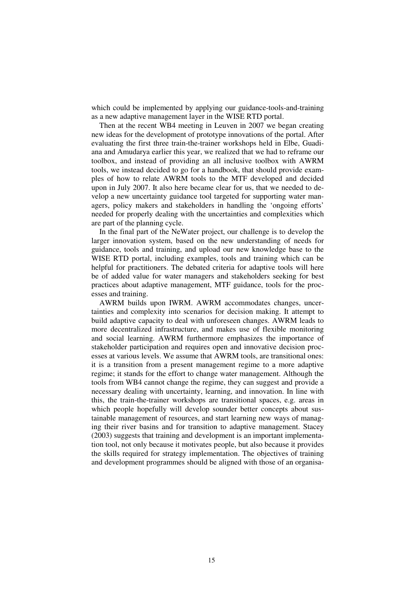which could be implemented by applying our guidance-tools-and-training as a new adaptive management layer in the WISE RTD portal.

Then at the recent WB4 meeting in Leuven in 2007 we began creating new ideas for the development of prototype innovations of the portal. After evaluating the first three train-the-trainer workshops held in Elbe, Guadiana and Amudarya earlier this year, we realized that we had to reframe our toolbox, and instead of providing an all inclusive toolbox with AWRM tools, we instead decided to go for a handbook, that should provide examples of how to relate AWRM tools to the MTF developed and decided upon in July 2007. It also here became clear for us, that we needed to develop a new uncertainty guidance tool targeted for supporting water managers, policy makers and stakeholders in handling the 'ongoing efforts' needed for properly dealing with the uncertainties and complexities which are part of the planning cycle.

In the final part of the NeWater project, our challenge is to develop the larger innovation system, based on the new understanding of needs for guidance, tools and training, and upload our new knowledge base to the WISE RTD portal, including examples, tools and training which can be helpful for practitioners. The debated criteria for adaptive tools will here be of added value for water managers and stakeholders seeking for best practices about adaptive management, MTF guidance, tools for the processes and training.

AWRM builds upon IWRM. AWRM accommodates changes, uncertainties and complexity into scenarios for decision making. It attempt to build adaptive capacity to deal with unforeseen changes. AWRM leads to more decentralized infrastructure, and makes use of flexible monitoring and social learning. AWRM furthermore emphasizes the importance of stakeholder participation and requires open and innovative decision processes at various levels. We assume that AWRM tools, are transitional ones: it is a transition from a present management regime to a more adaptive regime; it stands for the effort to change water management. Although the tools from WB4 cannot change the regime, they can suggest and provide a necessary dealing with uncertainty, learning, and innovation. In line with this, the train-the-trainer workshops are transitional spaces, e.g. areas in which people hopefully will develop sounder better concepts about sustainable management of resources, and start learning new ways of managing their river basins and for transition to adaptive management. Stacey (2003) suggests that training and development is an important implementation tool, not only because it motivates people, but also because it provides the skills required for strategy implementation. The objectives of training and development programmes should be aligned with those of an organisa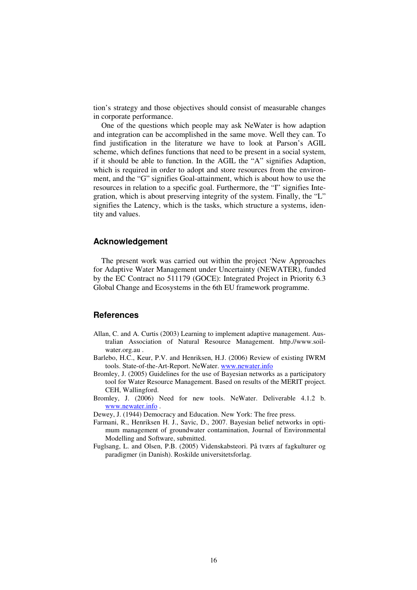tion's strategy and those objectives should consist of measurable changes in corporate performance.

One of the questions which people may ask NeWater is how adaption and integration can be accomplished in the same move. Well they can. To find justification in the literature we have to look at Parson's AGIL scheme, which defines functions that need to be present in a social system, if it should be able to function. In the AGIL the "A" signifies Adaption, which is required in order to adopt and store resources from the environment, and the "G" signifies Goal-attainment, which is about how to use the resources in relation to a specific goal. Furthermore, the "I" signifies Integration, which is about preserving integrity of the system. Finally, the "L" signifies the Latency, which is the tasks, which structure a systems, identity and values.

#### **Acknowledgement**

The present work was carried out within the project 'New Approaches for Adaptive Water Management under Uncertainty (NEWATER), funded by the EC Contract no 511179 (GOCE): Integrated Project in Priority 6.3 Global Change and Ecosystems in the 6th EU framework programme.

#### **References**

- Allan, C. and A. Curtis (2003) Learning to implement adaptive management. Australian Association of Natural Resource Management. http.//www.soilwater.org.au .
- Barlebo, H.C., Keur, P.V. and Henriksen, H.J. (2006) Review of existing IWRM tools. State-of-the-Art-Report. NeWater. www.newater.info
- Bromley, J. (2005) Guidelines for the use of Bayesian networks as a participatory tool for Water Resource Management. Based on results of the MERIT project. CEH, Wallingford.
- Bromley, J. (2006) Need for new tools. NeWater. Deliverable 4.1.2 b. www.newater.info .

Dewey, J. (1944) Democracy and Education. New York: The free press.

- Farmani, R., Henriksen H. J., Savic, D., 2007. Bayesian belief networks in optimum management of groundwater contamination, Journal of Environmental Modelling and Software, submitted.
- Fuglsang, L. and Olsen, P.B. (2005) Videnskabsteori. På tværs af fagkulturer og paradigmer (in Danish). Roskilde universitetsforlag.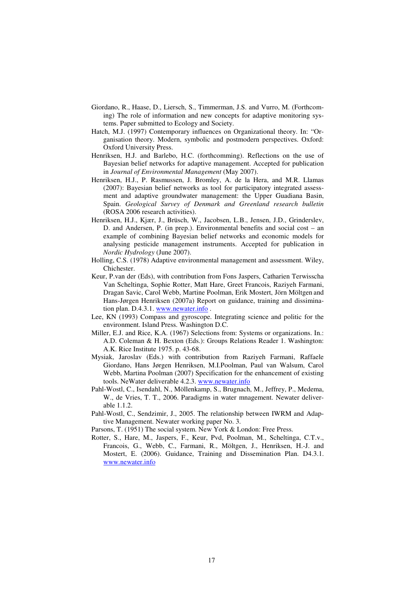- Giordano, R., Haase, D., Liersch, S., Timmerman, J.S. and Vurro, M. (Forthcoming) The role of information and new concepts for adaptive monitoring systems. Paper submitted to Ecology and Society.
- Hatch, M.J. (1997) Contemporary influences on Organizational theory. In: "Organisation theory. Modern, symbolic and postmodern perspectives. Oxford: Oxford University Press.
- Henriksen, H.J. and Barlebo, H.C. (forthcomming). Reflections on the use of Bayesian belief networks for adaptive management. Accepted for publication in *Journal of Environmental Management* (May 2007).
- Henriksen, H.J., P. Rasmussen, J. Bromley, A. de la Hera, and M.R. Llamas (2007): Bayesian belief networks as tool for participatory integrated assessment and adaptive groundwater management: the Upper Guadiana Basin, Spain. *Geological Survey of Denmark and Greenland research bulletin* (ROSA 2006 research activities).
- Henriksen, H.J., Kjær, J., Brüsch, W., Jacobsen, L.B., Jensen, J.D., Grinderslev, D. and Andersen, P. (in prep.). Environmental benefits and social cost – an example of combining Bayesian belief networks and economic models for analysing pesticide management instruments. Accepted for publication in *Nordic Hydrology* (June 2007).
- Holling, C.S. (1978) Adaptive environmental management and assessment. Wiley, Chichester.
- Keur, P.van der (Eds), with contribution from Fons Jaspers, Catharien Terwisscha Van Scheltinga, Sophie Rotter, Matt Hare, Greet Francois, Raziyeh Farmani, Dragan Savic, Carol Webb, Martine Poolman, Erik Mostert, Jörn Möltgen and Hans-Jørgen Henriksen (2007a) Report on guidance, training and dissimination plan. D.4.3.1. www.newater.info .
- Lee, KN (1993) Compass and gyroscope. Integrating science and politic for the environment. Island Press. Washington D.C.
- Miller, E.J. and Rice, K.A. (1967) Selections from: Systems or organizations. In.: A.D. Coleman & H. Bexton (Eds.): Groups Relations Reader 1. Washington: A.K. Rice Institute 1975. p. 43-68.
- Mysiak, Jaroslav (Eds.) with contribution from Raziyeh Farmani, Raffaele Giordano, Hans Jørgen Henriksen, M.I.Poolman, Paul van Walsum, Carol Webb, Martina Poolman (2007) Specification for the enhancement of existing tools. NeWater deliverable 4.2.3. www.newater.info
- Pahl-Wostl, C., Isendahl, N., Möllenkamp, S., Brugnach, M., Jeffrey, P., Medema, W., de Vries, T. T., 2006. Paradigms in water mnagement. Newater deliverable 1.1.2.
- Pahl-Wostl, C., Sendzimir, J., 2005. The relationship between IWRM and Adaptive Management. Newater working paper No. 3.
- Parsons, T. (1951) The social system. New York & London: Free Press.
- Rotter, S., Hare, M., Jaspers, F., Keur, Pvd, Poolman, M., Scheltinga, C.T.v., Francois, G., Webb, C., Farmani, R., Möltgen, J., Henriksen, H.-J. and Mostert, E. (2006). Guidance, Training and Dissemination Plan. D4.3.1. www.newater.info